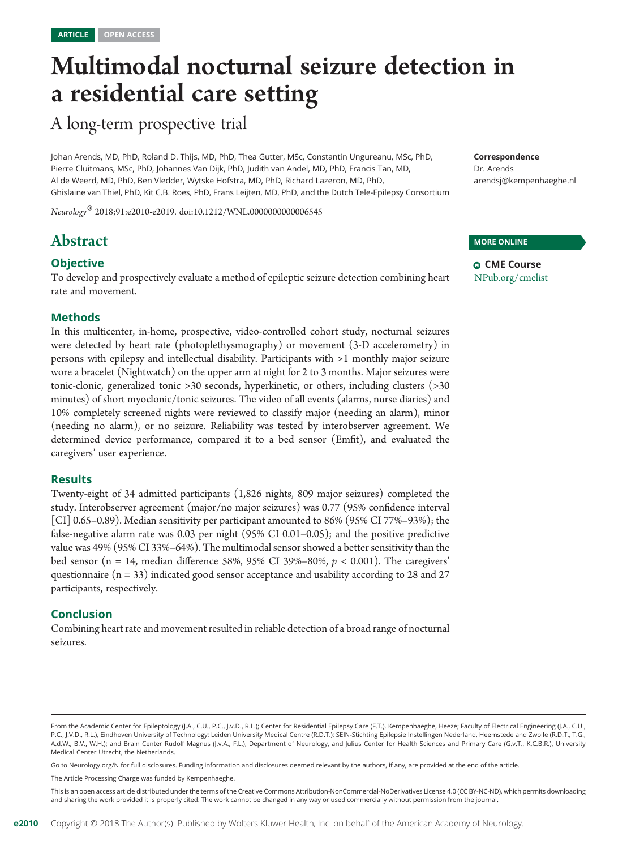# Multimodal nocturnal seizure detection in a residential care setting

A long-term prospective trial

Johan Arends, MD, PhD, Roland D. Thijs, MD, PhD, Thea Gutter, MSc, Constantin Ungureanu, MSc, PhD, Pierre Cluitmans, MSc, PhD, Johannes Van Dijk, PhD, Judith van Andel, MD, PhD, Francis Tan, MD, Al de Weerd, MD, PhD, Ben Vledder, Wytske Hofstra, MD, PhD, Richard Lazeron, MD, PhD, Ghislaine van Thiel, PhD, Kit C.B. Roes, PhD, Frans Leijten, MD, PhD, and the Dutch Tele-Epilepsy Consortium

Neurology® 2018;91:e2010-e2019. doi[:10.1212/WNL.0000000000006545](http://dx.doi.org/10.1212/WNL.0000000000006545)

# Abstract

# **Objective**

To develop and prospectively evaluate a method of epileptic seizure detection combining heart rate and movement.

# **Methods**

In this multicenter, in-home, prospective, video-controlled cohort study, nocturnal seizures were detected by heart rate (photoplethysmography) or movement (3-D accelerometry) in persons with epilepsy and intellectual disability. Participants with >1 monthly major seizure wore a bracelet (Nightwatch) on the upper arm at night for 2 to 3 months. Major seizures were tonic-clonic, generalized tonic >30 seconds, hyperkinetic, or others, including clusters (>30 minutes) of short myoclonic/tonic seizures. The video of all events (alarms, nurse diaries) and 10% completely screened nights were reviewed to classify major (needing an alarm), minor (needing no alarm), or no seizure. Reliability was tested by interobserver agreement. We determined device performance, compared it to a bed sensor (Emfit), and evaluated the caregivers' user experience.

# **Results**

Twenty-eight of 34 admitted participants (1,826 nights, 809 major seizures) completed the study. Interobserver agreement (major/no major seizures) was 0.77 (95% confidence interval [CI] 0.65–0.89). Median sensitivity per participant amounted to 86% (95% CI 77%–93%); the false-negative alarm rate was 0.03 per night (95% CI 0.01–0.05); and the positive predictive value was 49% (95% CI 33%–64%). The multimodal sensor showed a better sensitivity than the bed sensor (n = 14, median difference 58%, 95% CI 39%–80%,  $p < 0.001$ ). The caregivers' questionnaire ( $n = 33$ ) indicated good sensor acceptance and usability according to 28 and 27 participants, respectively.

# Conclusion

Combining heart rate and movement resulted in reliable detection of a broad range of nocturnal seizures.

### MORE ONLINE

**Q CME Course** [NPub.org/cmelist](http://NPub.org/cmelist)

Go to [Neurology.org/N](http://n.neurology.org/lookup/doi/10.1212/WNL.0000000000006545) for full disclosures. Funding information and disclosures deemed relevant by the authors, if any, are provided at the end of the article.

The Article Processing Charge was funded by Kempenhaeghe.

This is an open access article distributed under the terms of the [Creative Commons Attribution-NonCommercial-NoDerivatives License 4.0 \(CC BY-NC-ND\)](http://creativecommons.org/licenses/by-nc-nd/4.0/), which permits downloading and sharing the work provided it is properly cited. The work cannot be changed in any way or used commercially without permission from the journal.

Correspondence Dr. Arends [arendsj@kempenhaeghe.nl](mailto:arendsj@kempenhaeghe.nl)

From the Academic Center for Epileptology (J.A., C.U., P.C., J.v.D., R.L.); Center for Residential Epilepsy Care (F.T.), Kempenhaeghe, Heeze; Faculty of Electrical Engineering (J.A., C.U., P.C., J.V.D., R.L.), Eindhoven University of Technology; Leiden University Medical Centre (R.D.T.); SEIN-Stichting Epilepsie Instellingen Nederland, Heemstede and Zwolle (R.D.T., T.G., A.d.W., B.V., W.H.); and Brain Center Rudolf Magnus (J.v.A., F.L.), Department of Neurology, and Julius Center for Health Sciences and Primary Care (G.v.T., K.C.B.R.), University Medical Center Utrecht, the Netherlands.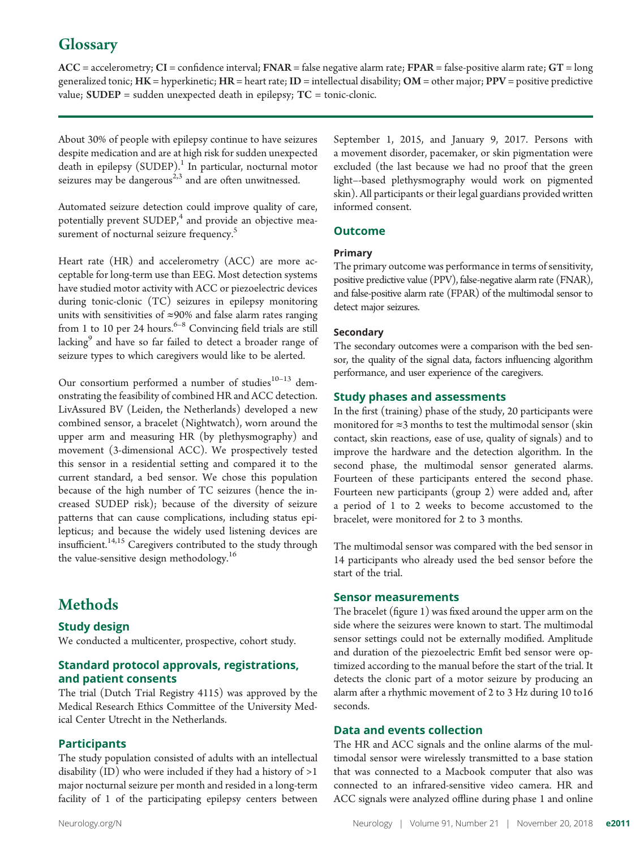# **Glossary**

 $ACC = accepterometry; CI = confidence interval; FNAR = false negative alarm rate; FPAR = false-positive alarm rate; GF = 0.012$ generalized tonic;  $HK =$  hyperkinetic;  $HR =$  heart rate;  $ID =$  intellectual disability;  $OM =$  other major;  $PPV =$  positive predictive value;  $SUBEP = sudden$  unexpected death in epilepsy;  $TC = tonic\text{-}clonic$ .

About 30% of people with epilepsy continue to have seizures despite medication and are at high risk for sudden unexpected death in epilepsy  $(SUDEP).$ <sup>1</sup> In particular, nocturnal motor seizures may be dangerous<sup> $2,3$ </sup> and are often unwitnessed.

Automated seizure detection could improve quality of care, potentially prevent SUDEP,<sup>4</sup> and provide an objective measurement of nocturnal seizure frequency.<sup>5</sup>

Heart rate (HR) and accelerometry (ACC) are more acceptable for long-term use than EEG. Most detection systems have studied motor activity with ACC or piezoelectric devices during tonic-clonic (TC) seizures in epilepsy monitoring units with sensitivities of ≈90% and false alarm rates ranging from 1 to 10 per 24 hours.<sup>6–8</sup> Convincing field trials are still lacking<sup>9</sup> and have so far failed to detect a broader range of seizure types to which caregivers would like to be alerted.

Our consortium performed a number of studies $10-13$  demonstrating the feasibility of combined HR and ACC detection. LivAssured BV (Leiden, the Netherlands) developed a new combined sensor, a bracelet (Nightwatch), worn around the upper arm and measuring HR (by plethysmography) and movement (3-dimensional ACC). We prospectively tested this sensor in a residential setting and compared it to the current standard, a bed sensor. We chose this population because of the high number of TC seizures (hence the increased SUDEP risk); because of the diversity of seizure patterns that can cause complications, including status epilepticus; and because the widely used listening devices are insufficient.<sup>14,15</sup> Caregivers contributed to the study through the value-sensitive design methodology.<sup>16</sup>

# Methods

# Study design

We conducted a multicenter, prospective, cohort study.

# Standard protocol approvals, registrations, and patient consents

The trial (Dutch Trial Registry 4115) was approved by the Medical Research Ethics Committee of the University Medical Center Utrecht in the Netherlands.

# Participants

The study population consisted of adults with an intellectual disability (ID) who were included if they had a history of >1 major nocturnal seizure per month and resided in a long-term facility of 1 of the participating epilepsy centers between

September 1, 2015, and January 9, 2017. Persons with a movement disorder, pacemaker, or skin pigmentation were excluded (the last because we had no proof that the green light–-based plethysmography would work on pigmented skin). All participants or their legal guardians provided written informed consent.

# **Outcome**

# Primary

The primary outcome was performance in terms of sensitivity, positive predictive value (PPV), false-negative alarm rate (FNAR), and false-positive alarm rate (FPAR) of the multimodal sensor to detect major seizures.

# **Secondary**

The secondary outcomes were a comparison with the bed sensor, the quality of the signal data, factors influencing algorithm performance, and user experience of the caregivers.

# Study phases and assessments

In the first (training) phase of the study, 20 participants were monitored for  $\approx$ 3 months to test the multimodal sensor (skin contact, skin reactions, ease of use, quality of signals) and to improve the hardware and the detection algorithm. In the second phase, the multimodal sensor generated alarms. Fourteen of these participants entered the second phase. Fourteen new participants (group 2) were added and, after a period of 1 to 2 weeks to become accustomed to the bracelet, were monitored for 2 to 3 months.

The multimodal sensor was compared with the bed sensor in 14 participants who already used the bed sensor before the start of the trial.

# Sensor measurements

The bracelet (figure 1) was fixed around the upper arm on the side where the seizures were known to start. The multimodal sensor settings could not be externally modified. Amplitude and duration of the piezoelectric Emfit bed sensor were optimized according to the manual before the start of the trial. It detects the clonic part of a motor seizure by producing an alarm after a rhythmic movement of 2 to 3 Hz during 10 to16 seconds.

# Data and events collection

The HR and ACC signals and the online alarms of the multimodal sensor were wirelessly transmitted to a base station that was connected to a Macbook computer that also was connected to an infrared-sensitive video camera. HR and ACC signals were analyzed offline during phase 1 and online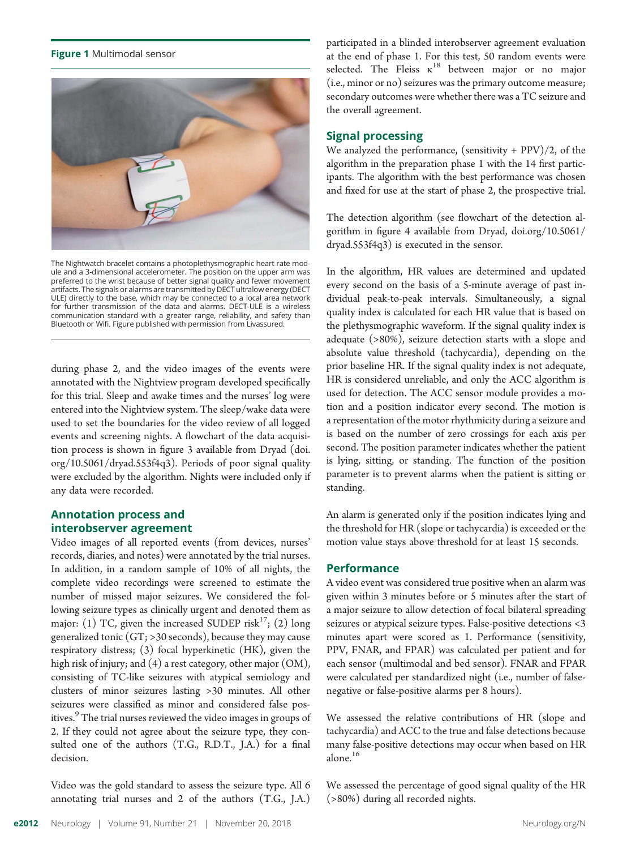# Figure 1 Multimodal sensor



The Nightwatch bracelet contains a photoplethysmographic heart rate module and a 3-dimensional accelerometer. The position on the upper arm was preferred to the wrist because of better signal quality and fewer movement artifacts. The signals or alarms are transmitted by DECT ultralow energy (DECT ULE) directly to the base, which may be connected to a local area network for further transmission of the data and alarms. DECT-ULE is a wireless communication standard with a greater range, reliability, and safety than Bluetooth or Wifi. Figure published with permission from Livassured.

during phase 2, and the video images of the events were annotated with the Nightview program developed specifically for this trial. Sleep and awake times and the nurses' log were entered into the Nightview system. The sleep/wake data were used to set the boundaries for the video review of all logged events and screening nights. A flowchart of the data acquisition process is shown in figure 3 available from Dryad ([doi.](https://doi.org/10.5061/dryad.553f4q3) [org/10.5061/dryad.553f4q3\)](https://doi.org/10.5061/dryad.553f4q3). Periods of poor signal quality were excluded by the algorithm. Nights were included only if any data were recorded.

# Annotation process and interobserver agreement

Video images of all reported events (from devices, nurses' records, diaries, and notes) were annotated by the trial nurses. In addition, in a random sample of 10% of all nights, the complete video recordings were screened to estimate the number of missed major seizures. We considered the following seizure types as clinically urgent and denoted them as major: (1) TC, given the increased SUDEP risk<sup>17</sup>; (2) long generalized tonic (GT; >30 seconds), because they may cause respiratory distress; (3) focal hyperkinetic (HK), given the high risk of injury; and (4) a rest category, other major (OM), consisting of TC-like seizures with atypical semiology and clusters of minor seizures lasting >30 minutes. All other seizures were classified as minor and considered false positives.<sup>9</sup> The trial nurses reviewed the video images in groups of 2. If they could not agree about the seizure type, they consulted one of the authors (T.G., R.D.T., J.A.) for a final decision.

Video was the gold standard to assess the seizure type. All 6 annotating trial nurses and 2 of the authors (T.G., J.A.) participated in a blinded interobserver agreement evaluation at the end of phase 1. For this test, 50 random events were selected. The Fleiss  $\kappa^{18}$  between major or no major (i.e., minor or no) seizures was the primary outcome measure; secondary outcomes were whether there was a TC seizure and the overall agreement.

# Signal processing

We analyzed the performance, (sensitivity +  $PPV$ )/2, of the algorithm in the preparation phase 1 with the 14 first participants. The algorithm with the best performance was chosen and fixed for use at the start of phase 2, the prospective trial.

The detection algorithm (see flowchart of the detection algorithm in figure 4 available from Dryad, [doi.org/10.5061/](https://doi.org/10.5061/dryad.553f4q3) [dryad.553f4q3\)](https://doi.org/10.5061/dryad.553f4q3) is executed in the sensor.

In the algorithm, HR values are determined and updated every second on the basis of a 5-minute average of past individual peak-to-peak intervals. Simultaneously, a signal quality index is calculated for each HR value that is based on the plethysmographic waveform. If the signal quality index is adequate (>80%), seizure detection starts with a slope and absolute value threshold (tachycardia), depending on the prior baseline HR. If the signal quality index is not adequate, HR is considered unreliable, and only the ACC algorithm is used for detection. The ACC sensor module provides a motion and a position indicator every second. The motion is a representation of the motor rhythmicity during a seizure and is based on the number of zero crossings for each axis per second. The position parameter indicates whether the patient is lying, sitting, or standing. The function of the position parameter is to prevent alarms when the patient is sitting or standing.

An alarm is generated only if the position indicates lying and the threshold for HR (slope or tachycardia) is exceeded or the motion value stays above threshold for at least 15 seconds.

# Performance

A video event was considered true positive when an alarm was given within 3 minutes before or 5 minutes after the start of a major seizure to allow detection of focal bilateral spreading seizures or atypical seizure types. False-positive detections <3 minutes apart were scored as 1. Performance (sensitivity, PPV, FNAR, and FPAR) was calculated per patient and for each sensor (multimodal and bed sensor). FNAR and FPAR were calculated per standardized night (i.e., number of falsenegative or false-positive alarms per 8 hours).

We assessed the relative contributions of HR (slope and tachycardia) and ACC to the true and false detections because many false-positive detections may occur when based on HR alone.<sup>16</sup>

We assessed the percentage of good signal quality of the HR (>80%) during all recorded nights.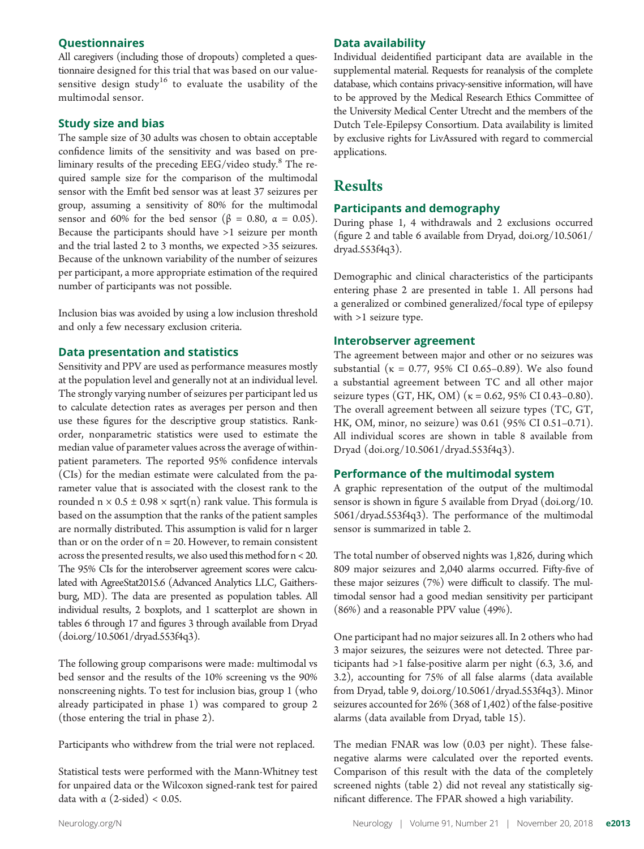# **Questionnaires**

All caregivers (including those of dropouts) completed a questionnaire designed for this trial that was based on our valuesensitive design study<sup>16</sup> to evaluate the usability of the multimodal sensor.

# Study size and bias

The sample size of 30 adults was chosen to obtain acceptable confidence limits of the sensitivity and was based on preliminary results of the preceding EEG/video study.<sup>8</sup> The required sample size for the comparison of the multimodal sensor with the Emfit bed sensor was at least 37 seizures per group, assuming a sensitivity of 80% for the multimodal sensor and 60% for the bed sensor (β = 0.80,  $\alpha$  = 0.05). Because the participants should have >1 seizure per month and the trial lasted 2 to 3 months, we expected >35 seizures. Because of the unknown variability of the number of seizures per participant, a more appropriate estimation of the required number of participants was not possible.

Inclusion bias was avoided by using a low inclusion threshold and only a few necessary exclusion criteria.

# Data presentation and statistics

Sensitivity and PPV are used as performance measures mostly at the population level and generally not at an individual level. The strongly varying number of seizures per participant led us to calculate detection rates as averages per person and then use these figures for the descriptive group statistics. Rankorder, nonparametric statistics were used to estimate the median value of parameter values across the average of withinpatient parameters. The reported 95% confidence intervals (CIs) for the median estimate were calculated from the parameter value that is associated with the closest rank to the rounded n  $\times$  0.5  $\pm$  0.98  $\times$  sqrt(n) rank value. This formula is based on the assumption that the ranks of the patient samples are normally distributed. This assumption is valid for n larger than or on the order of  $n = 20$ . However, to remain consistent across the presented results, we also used this method for  $n < 20$ . The 95% CIs for the interobserver agreement scores were calculated with AgreeStat2015.6 (Advanced Analytics LLC, Gaithersburg, MD). The data are presented as population tables. All individual results, 2 boxplots, and 1 scatterplot are shown in tables 6 through 17 and figures 3 through available from Dryad ([doi.org/10.5061/dryad.553f4q3](https://doi.org/10.5061/dryad.553f4q3)).

The following group comparisons were made: multimodal vs bed sensor and the results of the 10% screening vs the 90% nonscreening nights. To test for inclusion bias, group 1 (who already participated in phase 1) was compared to group 2 (those entering the trial in phase 2).

Participants who withdrew from the trial were not replaced.

Statistical tests were performed with the Mann-Whitney test for unpaired data or the Wilcoxon signed-rank test for paired data with  $\alpha$  (2-sided) < 0.05.

Individual deidentified participant data are available in the supplemental material. Requests for reanalysis of the complete database, which contains privacy-sensitive information, will have to be approved by the Medical Research Ethics Committee of the University Medical Center Utrecht and the members of the Dutch Tele-Epilepsy Consortium. Data availability is limited by exclusive rights for LivAssured with regard to commercial applications.

# **Results**

# Participants and demography

During phase 1, 4 withdrawals and 2 exclusions occurred (figure 2 and table 6 available from Dryad, [doi.org/10.5061/](https://doi.org/10.5061/dryad.553f4q3) [dryad.553f4q3](https://doi.org/10.5061/dryad.553f4q3)).

Demographic and clinical characteristics of the participants entering phase 2 are presented in table 1. All persons had a generalized or combined generalized/focal type of epilepsy with >1 seizure type.

# Interobserver agreement

The agreement between major and other or no seizures was substantial ( $\kappa = 0.77,95\%$  CI 0.65-0.89). We also found a substantial agreement between TC and all other major seizure types (GT, HK, OM) ( $\kappa$  = 0.62, 95% CI 0.43–0.80). The overall agreement between all seizure types (TC, GT, HK, OM, minor, no seizure) was 0.61 (95% CI 0.51–0.71). All individual scores are shown in table 8 available from Dryad ([doi.org/10.5061/dryad.553f4q3](https://doi.org/10.5061/dryad.553f4q3)).

# Performance of the multimodal system

A graphic representation of the output of the multimodal sensor is shown in figure 5 available from Dryad ([doi.org/10.](https://doi.org/10.5061/dryad.553f4q3) [5061/dryad.553f4q3\)](https://doi.org/10.5061/dryad.553f4q3). The performance of the multimodal sensor is summarized in table 2.

The total number of observed nights was 1,826, during which 809 major seizures and 2,040 alarms occurred. Fifty-five of these major seizures (7%) were difficult to classify. The multimodal sensor had a good median sensitivity per participant (86%) and a reasonable PPV value (49%).

One participant had no major seizures all. In 2 others who had 3 major seizures, the seizures were not detected. Three participants had >1 false-positive alarm per night (6.3, 3.6, and 3.2), accounting for 75% of all false alarms (data available from Dryad, table 9, [doi.org/10.5061/dryad.553f4q3\)](https://doi.org/10.5061/dryad.553f4q3). Minor seizures accounted for 26% (368 of 1,402) of the false-positive alarms (data available from Dryad, table 15).

The median FNAR was low (0.03 per night). These falsenegative alarms were calculated over the reported events. Comparison of this result with the data of the completely screened nights (table 2) did not reveal any statistically significant difference. The FPAR showed a high variability.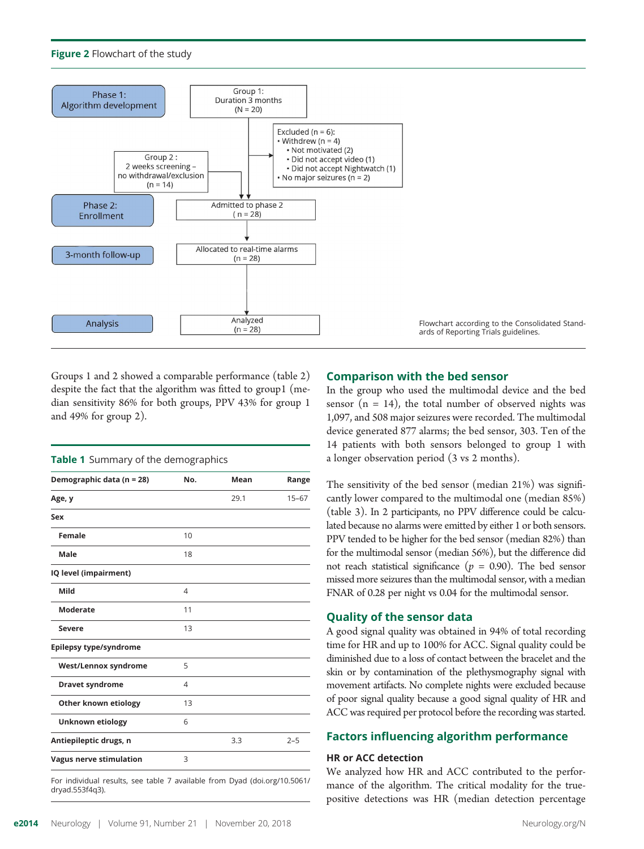Vagus nerve stimulation 3

and 49% for group 2).

IQ level (impairment)

Epilepsy type/syndrome

Sex

Table 1 Summary of the demographics

Female 10 Male 18

Mild 4 Moderate 11 Severe 13

West/Lennox syndrome 5 Dravet syndrome 4 Other known etiology 13 Unknown etiology 6

For individual results, see table 7 available from Dyad [\(doi.org/10.5061/](https://doi.org/10.5061/dryad.553f4q3) [dryad.553f4q3\)](https://doi.org/10.5061/dryad.553f4q3).

Groups 1 and 2 showed a comparable performance (table 2) despite the fact that the algorithm was fitted to group1 (median sensitivity 86% for both groups, PPV 43% for group 1

Demographic data (n = 28) No. Mean Range **Age, y** 29.1 15–67

# Comparison with the bed sensor In the group who used the multimodal device and the bed

sensor  $(n = 14)$ , the total number of observed nights was 1,097, and 508 major seizures were recorded. The multimodal device generated 877 alarms; the bed sensor, 303. Ten of the 14 patients with both sensors belonged to group 1 with a longer observation period (3 vs 2 months).

The sensitivity of the bed sensor (median 21%) was significantly lower compared to the multimodal one (median 85%) (table 3). In 2 participants, no PPV difference could be calculated because no alarms were emitted by either 1 or both sensors. PPV tended to be higher for the bed sensor (median 82%) than for the multimodal sensor (median 56%), but the difference did not reach statistical significance ( $p = 0.90$ ). The bed sensor missed more seizures than the multimodal sensor, with a median FNAR of 0.28 per night vs 0.04 for the multimodal sensor.

# Quality of the sensor data

A good signal quality was obtained in 94% of total recording time for HR and up to 100% for ACC. Signal quality could be diminished due to a loss of contact between the bracelet and the skin or by contamination of the plethysmography signal with movement artifacts. No complete nights were excluded because of poor signal quality because a good signal quality of HR and ACC was required per protocol before the recording was started.

# Factors influencing algorithm performance

### HR or ACC detection

We analyzed how HR and ACC contributed to the performance of the algorithm. The critical modality for the truepositive detections was HR (median detection percentage

# Figure 2 Flowchart of the study

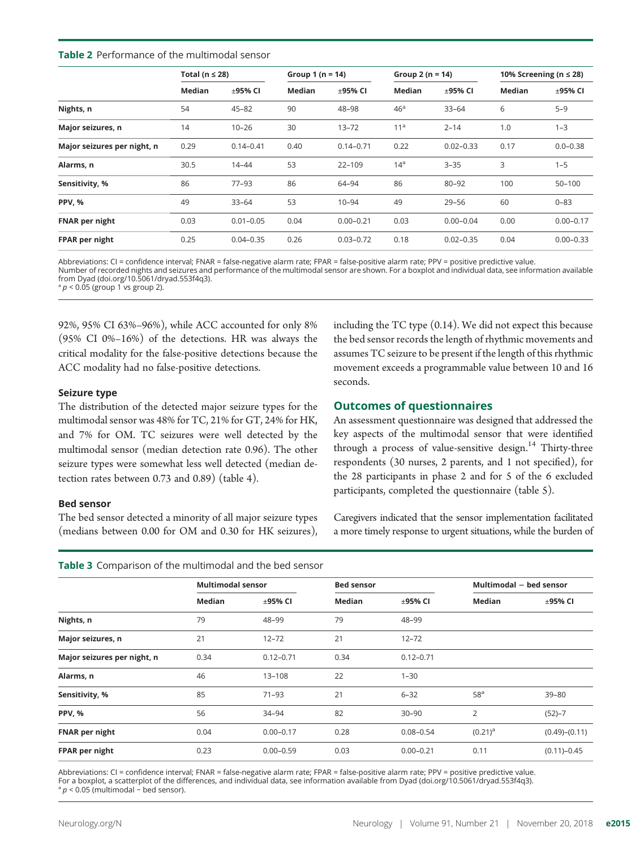# Table 2 Performance of the multimodal sensor

|                             | Total ( $n \leq 28$ ) |               | Group $1(n = 14)$ |               | Group $2(n = 14)$ |               | 10% Screening ( $n \le 28$ ) |               |
|-----------------------------|-----------------------|---------------|-------------------|---------------|-------------------|---------------|------------------------------|---------------|
|                             | <b>Median</b>         | $\pm$ 95% CI  | Median            | ±95% CI       | <b>Median</b>     | ±95% CI       | Median                       | ±95% CI       |
| Nights, n                   | 54                    | $45 - 82$     | 90                | 48-98         | 46 <sup>a</sup>   | $33 - 64$     | 6                            | $5 - 9$       |
| Major seizures, n           | 14                    | $10 - 26$     | 30                | $13 - 72$     | 11 <sup>a</sup>   | $2 - 14$      | 1.0                          | $1 - 3$       |
| Major seizures per night, n | 0.29                  | $0.14 - 0.41$ | 0.40              | $0.14 - 0.71$ | 0.22              | $0.02 - 0.33$ | 0.17                         | $0.0 - 0.38$  |
| Alarms, n                   | 30.5                  | $14 - 44$     | 53                | $22 - 109$    | 14 <sup>a</sup>   | $3 - 35$      | 3                            | $1 - 5$       |
| Sensitivity, %              | 86                    | $77 - 93$     | 86                | 64-94         | 86                | $80 - 92$     | 100                          | 50-100        |
| <b>PPV. %</b>               | 49                    | $33 - 64$     | 53                | $10 - 94$     | 49                | $29 - 56$     | 60                           | $0 - 83$      |
| <b>FNAR</b> per night       | 0.03                  | $0.01 - 0.05$ | 0.04              | $0.00 - 0.21$ | 0.03              | $0.00 - 0.04$ | 0.00                         | $0.00 - 0.17$ |
| FPAR per night              | 0.25                  | $0.04 - 0.35$ | 0.26              | $0.03 - 0.72$ | 0.18              | $0.02 - 0.35$ | 0.04                         | $0.00 - 0.33$ |

Abbreviations: CI = confidence interval; FNAR = false-negative alarm rate; FPAR = false-positive alarm rate; PPV = positive predictive value.

Number of recorded nights and seizures and performance of the multimodal sensor are shown. For a boxplot and individual data, see information available from Dyad ([doi.org/10.5061/dryad.553f4q3\)](https://doi.org/10.5061/dryad.553f4q3).

 $a \cdot p$  < 0.05 (group 1 vs group 2).

92%, 95% CI 63%–96%), while ACC accounted for only 8% (95% CI 0%–16%) of the detections. HR was always the critical modality for the false-positive detections because the ACC modality had no false-positive detections.

### Seizure type

The distribution of the detected major seizure types for the multimodal sensor was 48% for TC, 21% for GT, 24% for HK, and 7% for OM. TC seizures were well detected by the multimodal sensor (median detection rate 0.96). The other seizure types were somewhat less well detected (median detection rates between 0.73 and 0.89) (table 4).

### Bed sensor

The bed sensor detected a minority of all major seizure types (medians between 0.00 for OM and 0.30 for HK seizures), including the TC type (0.14). We did not expect this because the bed sensor records the length of rhythmic movements and assumes TC seizure to be present if the length of this rhythmic movement exceeds a programmable value between 10 and 16 seconds.

# Outcomes of questionnaires

An assessment questionnaire was designed that addressed the key aspects of the multimodal sensor that were identified through a process of value-sensitive design. $14$  Thirty-three respondents (30 nurses, 2 parents, and 1 not specified), for the 28 participants in phase 2 and for 5 of the 6 excluded participants, completed the questionnaire (table 5).

Caregivers indicated that the sensor implementation facilitated a more timely response to urgent situations, while the burden of

| Table 3 Comparison of the multimodal and the bed sensor |                          |               |                   |               |                         |                     |  |
|---------------------------------------------------------|--------------------------|---------------|-------------------|---------------|-------------------------|---------------------|--|
|                                                         | <b>Multimodal sensor</b> |               | <b>Bed sensor</b> |               | Multimodal - bed sensor |                     |  |
|                                                         | Median                   | ±95% CI       | Median            | ±95% CI       | Median                  | ±95% CI             |  |
| Nights, n                                               | 79                       | 48-99         | 79                | 48-99         |                         |                     |  |
| Major seizures, n                                       | 21                       | $12 - 72$     | 21                | $12 - 72$     |                         |                     |  |
| Major seizures per night, n                             | 0.34                     | $0.12 - 0.71$ | 0.34              | $0.12 - 0.71$ |                         |                     |  |
| Alarms, n                                               | 46                       | $13 - 108$    | 22                | $1 - 30$      |                         |                     |  |
| Sensitivity, %                                          | 85                       | $71 - 93$     | 21                | $6 - 32$      | 58 <sup>a</sup>         | $39 - 80$           |  |
| PPV, %                                                  | 56                       | 34-94         | 82                | $30 - 90$     | $\overline{2}$          | $(52)-7$            |  |
| FNAR per night                                          | 0.04                     | $0.00 - 0.17$ | 0.28              | $0.08 - 0.54$ | $(0.21)^{a}$            | $(0.49)$ – $(0.11)$ |  |
| FPAR per night                                          | 0.23                     | $0.00 - 0.59$ | 0.03              | $0.00 - 0.21$ | 0.11                    | $(0.11)-0.45$       |  |

Abbreviations: CI = confidence interval; FNAR = false-negative alarm rate; FPAR = false-positive alarm rate; PPV = positive predictive value. For a boxplot, a scatterplot of the differences, and individual data, see information available from Dyad ([doi.org/10.5061/dryad.553f4q3](https://doi.org/10.5061/dryad.553f4q3)).  $a \cdot p$  < 0.05 (multimodal − bed sensor).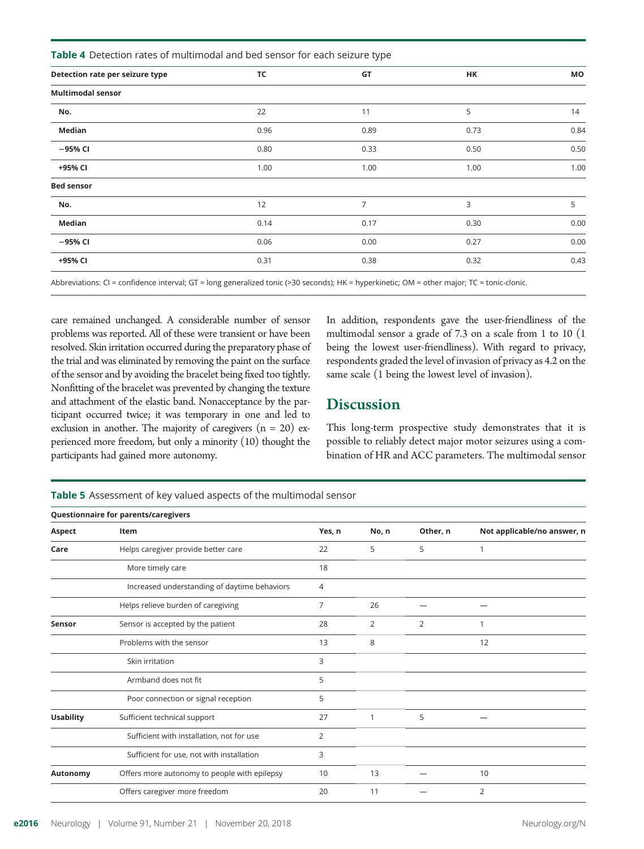Table 4 Detection rates of multimodal and bed sensor for each seizure type

| ТC   | GT             | HK   | МO   |
|------|----------------|------|------|
|      |                |      |      |
| 22   | 11             | 5    | 14   |
| 0.96 | 0.89           | 0.73 | 0.84 |
| 0.80 | 0.33           | 0.50 | 0.50 |
| 1.00 | 1.00           | 1.00 | 1.00 |
|      |                |      |      |
| 12   | $\overline{7}$ | 3    | 5    |
| 0.14 | 0.17           | 0.30 | 0.00 |
| 0.06 | 0.00           | 0.27 | 0.00 |
| 0.31 | 0.38           | 0.32 | 0.43 |
|      |                |      |      |

Abbreviations: CI = confidence interval; GT = long generalized tonic (>30 seconds); HK = hyperkinetic; OM = other major; TC = tonic-clonic.

care remained unchanged. A considerable number of sensor problems was reported. All of these were transient or have been resolved. Skin irritation occurred during the preparatory phase of the trial and was eliminated by removing the paint on the surface of the sensor and by avoiding the bracelet being fixed too tightly. Nonfitting of the bracelet was prevented by changing the texture and attachment of the elastic band. Nonacceptance by the participant occurred twice; it was temporary in one and led to exclusion in another. The majority of caregivers  $(n = 20)$  experienced more freedom, but only a minority (10) thought the participants had gained more autonomy.

In addition, respondents gave the user-friendliness of the multimodal sensor a grade of 7.3 on a scale from 1 to 10 (1 being the lowest user-friendliness). With regard to privacy, respondents graded the level of invasion of privacy as 4.2 on the same scale (1 being the lowest level of invasion).

# **Discussion**

This long-term prospective study demonstrates that it is possible to reliably detect major motor seizures using a combination of HR and ACC parameters. The multimodal sensor

| Questionnaire for parents/caregivers |                                              |                |                |          |                             |  |
|--------------------------------------|----------------------------------------------|----------------|----------------|----------|-----------------------------|--|
| Aspect                               | Item                                         | Yes, n         | No, n          | Other, n | Not applicable/no answer, n |  |
| Care                                 | Helps caregiver provide better care          | 22             | 5              | 5        | 1                           |  |
|                                      | More timely care                             | 18             |                |          |                             |  |
|                                      | Increased understanding of daytime behaviors | 4              |                |          |                             |  |
|                                      | Helps relieve burden of caregiving           | 7              | 26             |          |                             |  |
| Sensor                               | Sensor is accepted by the patient            | 28             | $\overline{2}$ | 2        | $\mathbf{1}$                |  |
|                                      | Problems with the sensor                     | 13             | 8              |          | 12                          |  |
|                                      | Skin irritation                              | 3              |                |          |                             |  |
|                                      | Armband does not fit                         | 5              |                |          |                             |  |
|                                      | Poor connection or signal reception          | 5              |                |          |                             |  |
| <b>Usability</b>                     | Sufficient technical support                 | 27             |                | 5        |                             |  |
|                                      | Sufficient with installation, not for use    | $\overline{2}$ |                |          |                             |  |
|                                      | Sufficient for use, not with installation    | 3              |                |          |                             |  |
| Autonomy                             | Offers more autonomy to people with epilepsy | 10             | 13             |          | 10                          |  |
|                                      | Offers caregiver more freedom                | 20             | 11             |          | 2                           |  |

Table 5 Assessment of key valued aspects of the multimodal sensor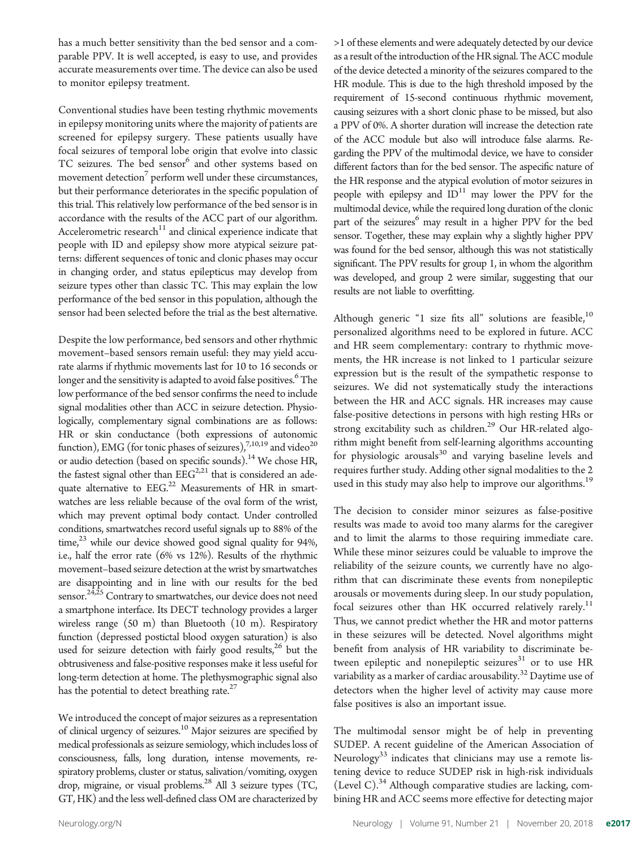has a much better sensitivity than the bed sensor and a comparable PPV. It is well accepted, is easy to use, and provides accurate measurements over time. The device can also be used to monitor epilepsy treatment.

Conventional studies have been testing rhythmic movements in epilepsy monitoring units where the majority of patients are screened for epilepsy surgery. These patients usually have focal seizures of temporal lobe origin that evolve into classic TC seizures. The bed sensor<sup>6</sup> and other systems based on movement detection $\sigma$  perform well under these circumstances, but their performance deteriorates in the specific population of this trial. This relatively low performance of the bed sensor is in accordance with the results of the ACC part of our algorithm. Accelerometric research $11$  and clinical experience indicate that people with ID and epilepsy show more atypical seizure patterns: different sequences of tonic and clonic phases may occur in changing order, and status epilepticus may develop from seizure types other than classic TC. This may explain the low performance of the bed sensor in this population, although the sensor had been selected before the trial as the best alternative.

Despite the low performance, bed sensors and other rhythmic movement–based sensors remain useful: they may yield accurate alarms if rhythmic movements last for 10 to 16 seconds or longer and the sensitivity is adapted to avoid false positives.<sup>6</sup> The low performance of the bed sensor confirms the need to include signal modalities other than ACC in seizure detection. Physiologically, complementary signal combinations are as follows: HR or skin conductance (both expressions of autonomic function), EMG (for tonic phases of seizures), $7^{10,19}$  and video<sup>20</sup> or audio detection (based on specific sounds).<sup>14</sup> We chose HR, the fastest signal other than  $EEG^{2,21}$  that is considered an adequate alternative to EEG.<sup>22</sup> Measurements of HR in smartwatches are less reliable because of the oval form of the wrist, which may prevent optimal body contact. Under controlled conditions, smartwatches record useful signals up to 88% of the time, $23$  while our device showed good signal quality for 94%, i.e., half the error rate (6% vs 12%). Results of the rhythmic movement–based seizure detection at the wrist by smartwatches are disappointing and in line with our results for the bed sensor.<sup>24,25</sup> Contrary to smartwatches, our device does not need a smartphone interface. Its DECT technology provides a larger wireless range (50 m) than Bluetooth (10 m). Respiratory function (depressed postictal blood oxygen saturation) is also used for seizure detection with fairly good results, $^{26}$  but the obtrusiveness and false-positive responses make it less useful for long-term detection at home. The plethysmographic signal also has the potential to detect breathing rate. $27$ 

We introduced the concept of major seizures as a representation of clinical urgency of seizures.10 Major seizures are specified by medical professionals as seizure semiology, which includes loss of consciousness, falls, long duration, intense movements, respiratory problems, cluster or status, salivation/vomiting, oxygen drop, migraine, or visual problems.<sup>28</sup> All 3 seizure types (TC, GT, HK) and the less well-defined class OM are characterized by

>1 of these elements and were adequately detected by our device as a result of the introduction of the HR signal. The ACC module of the device detected a minority of the seizures compared to the HR module. This is due to the high threshold imposed by the requirement of 15-second continuous rhythmic movement, causing seizures with a short clonic phase to be missed, but also a PPV of 0%. A shorter duration will increase the detection rate of the ACC module but also will introduce false alarms. Regarding the PPV of the multimodal device, we have to consider different factors than for the bed sensor. The aspecific nature of the HR response and the atypical evolution of motor seizures in people with epilepsy and  $ID<sup>11</sup>$  may lower the PPV for the multimodal device, while the required long duration of the clonic part of the seizures<sup>6</sup> may result in a higher PPV for the bed sensor. Together, these may explain why a slightly higher PPV was found for the bed sensor, although this was not statistically significant. The PPV results for group 1, in whom the algorithm was developed, and group 2 were similar, suggesting that our results are not liable to overfitting.

Although generic "1 size fits all" solutions are feasible, $10$ personalized algorithms need to be explored in future. ACC and HR seem complementary: contrary to rhythmic movements, the HR increase is not linked to 1 particular seizure expression but is the result of the sympathetic response to seizures. We did not systematically study the interactions between the HR and ACC signals. HR increases may cause false-positive detections in persons with high resting HRs or strong excitability such as children.<sup>29</sup> Our HR-related algorithm might benefit from self-learning algorithms accounting for physiologic arousals $30$  and varying baseline levels and requires further study. Adding other signal modalities to the 2 used in this study may also help to improve our algorithms.<sup>19</sup>

The decision to consider minor seizures as false-positive results was made to avoid too many alarms for the caregiver and to limit the alarms to those requiring immediate care. While these minor seizures could be valuable to improve the reliability of the seizure counts, we currently have no algorithm that can discriminate these events from nonepileptic arousals or movements during sleep. In our study population, focal seizures other than HK occurred relatively rarely.<sup>11</sup> Thus, we cannot predict whether the HR and motor patterns in these seizures will be detected. Novel algorithms might benefit from analysis of HR variability to discriminate between epileptic and nonepileptic seizures $31$  or to use HR variability as a marker of cardiac arousability.<sup>32</sup> Daytime use of detectors when the higher level of activity may cause more false positives is also an important issue.

The multimodal sensor might be of help in preventing SUDEP. A recent guideline of the American Association of Neurology<sup>33</sup> indicates that clinicians may use a remote listening device to reduce SUDEP risk in high-risk individuals (Level C). $34$  Although comparative studies are lacking, combining HR and ACC seems more effective for detecting major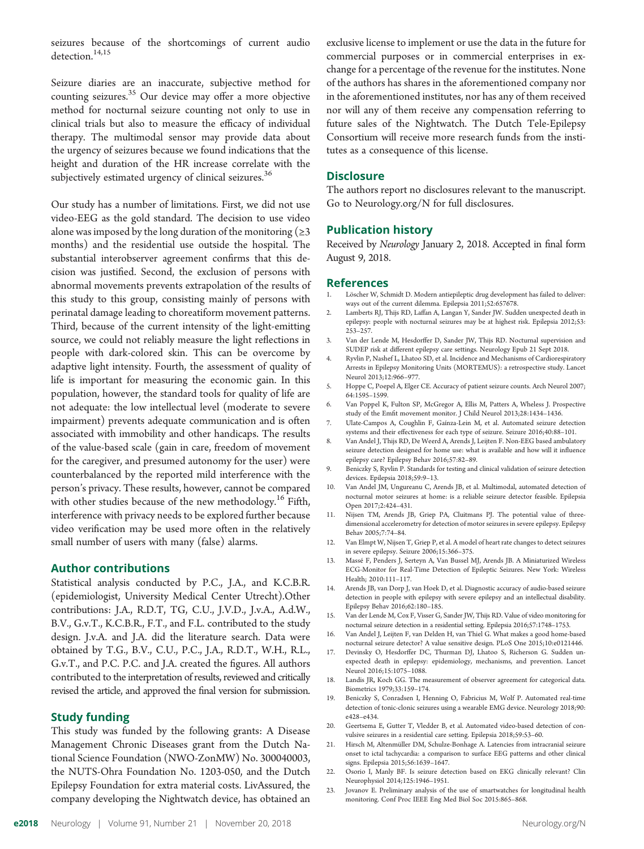seizures because of the shortcomings of current audio detection.<sup>14,15</sup>

Seizure diaries are an inaccurate, subjective method for counting seizures.<sup>35</sup> Our device may offer a more objective method for nocturnal seizure counting not only to use in clinical trials but also to measure the efficacy of individual therapy. The multimodal sensor may provide data about the urgency of seizures because we found indications that the height and duration of the HR increase correlate with the subjectively estimated urgency of clinical seizures.<sup>36</sup>

Our study has a number of limitations. First, we did not use video-EEG as the gold standard. The decision to use video alone was imposed by the long duration of the monitoring ( $\geq$ 3 months) and the residential use outside the hospital. The substantial interobserver agreement confirms that this decision was justified. Second, the exclusion of persons with abnormal movements prevents extrapolation of the results of this study to this group, consisting mainly of persons with perinatal damage leading to choreatiform movement patterns. Third, because of the current intensity of the light-emitting source, we could not reliably measure the light reflections in people with dark-colored skin. This can be overcome by adaptive light intensity. Fourth, the assessment of quality of life is important for measuring the economic gain. In this population, however, the standard tools for quality of life are not adequate: the low intellectual level (moderate to severe impairment) prevents adequate communication and is often associated with immobility and other handicaps. The results of the value-based scale (gain in care, freedom of movement for the caregiver, and presumed autonomy for the user) were counterbalanced by the reported mild interference with the person's privacy. These results, however, cannot be compared with other studies because of the new methodology.<sup>16</sup> Fifth, interference with privacy needs to be explored further because video verification may be used more often in the relatively small number of users with many (false) alarms.

# Author contributions

Statistical analysis conducted by P.C., J.A., and K.C.B.R. (epidemiologist, University Medical Center Utrecht).Other contributions: J.A., R.D.T, TG, C.U., J.V.D., J.v.A., A.d.W., B.V., G.v.T., K.C.B.R., F.T., and F.L. contributed to the study design. J.v.A. and J.A. did the literature search. Data were obtained by T.G., B.V., C.U., P.C., J.A., R.D.T., W.H., R.L., G.v.T., and P.C. P.C. and J.A. created the figures. All authors contributed to the interpretation of results, reviewed and critically revised the article, and approved the final version for submission.

# Study funding

This study was funded by the following grants: A Disease Management Chronic Diseases grant from the Dutch National Science Foundation (NWO-ZonMW) No. 300040003, the NUTS-Ohra Foundation No. 1203-050, and the Dutch Epilepsy Foundation for extra material costs. LivAssured, the company developing the Nightwatch device, has obtained an

exclusive license to implement or use the data in the future for commercial purposes or in commercial enterprises in exchange for a percentage of the revenue for the institutes. None of the authors has shares in the aforementioned company nor in the aforementioned institutes, nor has any of them received nor will any of them receive any compensation referring to future sales of the Nightwatch. The Dutch Tele-Epilepsy Consortium will receive more research funds from the institutes as a consequence of this license.

# **Disclosure**

The authors report no disclosures relevant to the manuscript. Go to [Neurology.org/N](http://n.neurology.org/lookup/doi/10.1212/WNL.0000000000006545) for full disclosures.

### Publication history

Received by Neurology January 2, 2018. Accepted in final form August 9, 2018.

### References

- 1. Löscher W, Schmidt D. Modern antiepileptic drug development has failed to deliver: ways out of the current dilemma. Epilepsia 2011;52:657678.
- 2. Lamberts RJ, Thijs RD, Laffan A, Langan Y, Sander JW. Sudden unexpected death in epilepsy: people with nocturnal seizures may be at highest risk. Epilepsia 2012;53: 253–257.
- 3. Van der Lende M, Hesdorffer D, Sander JW, Thijs RD. Nocturnal supervision and SUDEP risk at different epilepsy care settings. Neurology Epub 21 Sept 2018.
- Ryvlin P, Nashef L, Lhatoo SD, et al. Incidence and Mechanisms of Cardiorespiratory Arrests in Epilepsy Monitoring Units (MORTEMUS): a retrospective study. Lancet Neurol 2013;12:966–977.
- 5. Hoppe C, Poepel A, Elger CE. Accuracy of patient seizure counts. Arch Neurol 2007; 64:1595–1599.
- 6. Van Poppel K, Fulton SP, McGregor A, Ellis M, Patters A, Wheless J. Prospective study of the Emfit movement monitor. J Child Neurol 2013;28:1434–1436.
- 7. Ulate-Campos A, Coughlin F, Gaínza-Lein M, et al. Automated seizure detection systems and their effectiveness for each type of seizure. Seizure 2016;40:88–101.
- 8. Van Andel J, Thijs RD, De Weerd A, Arends J, Leijten F. Non-EEG based ambulatory seizure detection designed for home use: what is available and how will it influence epilepsy care? Epilepsy Behav 2016;57:82–89.
- 9. Beniczky S, Ryvlin P. Standards for testing and clinical validation of seizure detection devices. Epilepsia 2018;59:9–13.
- 10. Van Andel JM, Ungureanu C, Arends JB, et al. Multimodal, automated detection of nocturnal motor seizures at home: is a reliable seizure detector feasible. Epilepsia Open 2017;2:424–431.
- 11. Nijsen TM, Arends JB, Griep PA, Cluitmans PJ. The potential value of threedimensional accelerometry for detection of motor seizures in severe epilepsy. Epilepsy Behav 2005;7:74–84.
- 12. Van Elmpt W, Nijsen T, Griep P, et al. A model of heart rate changes to detect seizures in severe epilepsy. Seizure 2006;15:366–375.
- 13. Massé F, Penders J, Serteyn A, Van Bussel MJ, Arends JB. A Miniaturized Wireless ECG-Monitor for Real-Time Detection of Epileptic Seizures. New York: Wireless Health; 2010:111–117.
- 14. Arends JB, van Dorp J, van Hoek D, et al. Diagnostic accuracy of audio-based seizure detection in people with epilepsy with severe epilepsy and an intellectual disability. Epilepsy Behav 2016;62:180–185.
- 15. Van der Lende M, Cox F, Visser G, Sander JW, Thijs RD. Value of video monitoring for nocturnal seizure detection in a residential setting. Epilepsia 2016;57:1748–1753.
- 16. Van Andel J, Leijten F, van Delden H, van Thiel G. What makes a good home-based nocturnal seizure detector? A value sensitive design. PLoS One 2015;10:e0121446.
- 17. Devinsky O, Hesdorffer DC, Thurman DJ, Lhatoo S, Richerson G. Sudden unexpected death in epilepsy: epidemiology, mechanisms, and prevention. Lancet Neurol 2016;15:1075–1088.
- 18. Landis JR, Koch GG. The measurement of observer agreement for categorical data. Biometrics 1979;33:159–174.
- 19. Beniczky S, Conradsen I, Henning O, Fabricius M, Wolf P. Automated real-time detection of tonic-clonic seizures using a wearable EMG device. Neurology 2018;90: e428–e434.
- 20. Geertsema E, Gutter T, Vledder B, et al. Automated video-based detection of convulsive seizures in a residential care setting. Epilepsia 2018;59:53–60.
- 21. Hirsch M, Altenmüller DM, Schulze-Bonhage A. Latencies from intracranial seizure onset to ictal tachycardia: a comparison to surface EEG patterns and other clinical signs. Epilepsia 2015;56:1639–1647.
- 22. Osorio I, Manly BF. Is seizure detection based on EKG clinically relevant? Clin Neurophysiol 2014;125:1946–1951.
- 23. Jovanov E. Preliminary analysis of the use of smartwatches for longitudinal health monitoring. Conf Proc IEEE Eng Med Biol Soc 2015:865–868.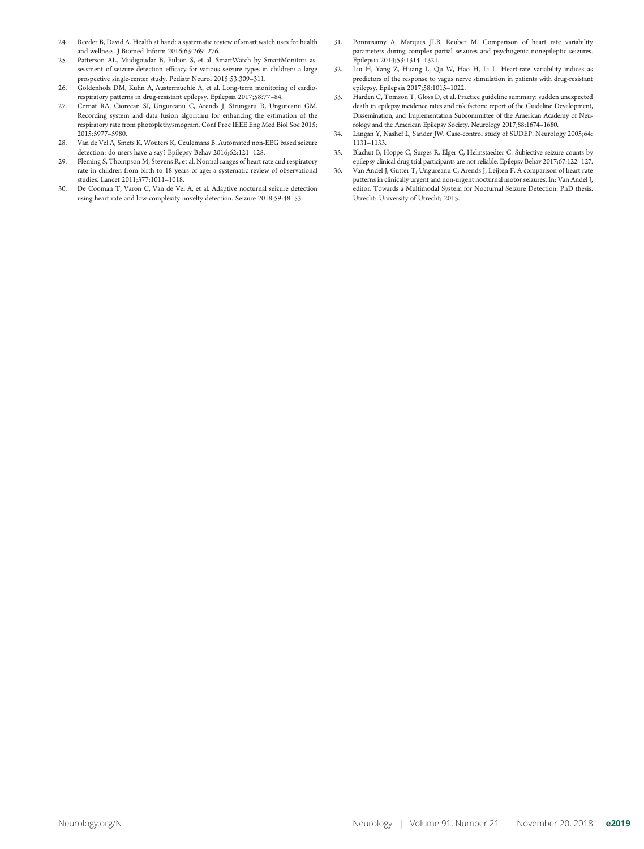- 24. Reeder B, David A. Health at hand: a systematic review of smart watch uses for health and wellness. J Biomed Inform 2016;63:269–276.
- 25. Patterson AL, Mudigoudar B, Fulton S, et al. SmartWatch by SmartMonitor: assessment of seizure detection efficacy for various seizure types in children: a large prospective single-center study. Pediatr Neurol 2015;53:309–311.
- 26. Goldenholz DM, Kuhn A, Austermuehle A, et al. Long-term monitoring of cardiorespiratory patterns in drug-resistant epilepsy. Epilepsia 2017;58:77–84.
- 27. Cernat RA, Ciorecan SI, Ungureanu C, Arends J, Strungaru R, Ungureanu GM. Recording system and data fusion algorithm for enhancing the estimation of the respiratory rate from photoplethysmogram. Conf Proc IEEE Eng Med Biol Soc 2015; 2015:5977–5980.
- 28. Van de Vel A, Smets K, Wouters K, Ceulemans B. Automated non-EEG based seizure detection: do users have a say? Epilepsy Behav 2016;62:121–128.
- 29. Fleming S, Thompson M, Stevens R, et al. Normal ranges of heart rate and respiratory rate in children from birth to 18 years of age: a systematic review of observational studies. Lancet 2011;377:1011–1018.
- 30. De Cooman T, Varon C, Van de Vel A, et al. Adaptive nocturnal seizure detection using heart rate and low-complexity novelty detection. Seizure 2018;59:48–53.
- 31. Ponnusamy A, Marques JLB, Reuber M. Comparison of heart rate variability parameters during complex partial seizures and psychogenic nonepileptic seizures. Epilepsia 2014;53:1314–1321.
- 32. Liu H, Yang Z, Huang L, Qu W, Hao H, Li L. Heart-rate variability indices as predictors of the response to vagus nerve stimulation in patients with drug-resistant epilepsy. Epilepsia 2017;58:1015–1022.
- 33. Harden C, Tomson T, Gloss D, et al. Practice guideline summary: sudden unexpected death in epilepsy incidence rates and risk factors: report of the Guideline Development, Dissemination, and Implementation Subcommittee of the American Academy of Neurology and the American Epilepsy Society. Neurology 2017;88:1674–1680.
- 34. Langan Y, Nashef L, Sander JW. Case-control study of SUDEP. Neurology 2005;64: 1131–1133.
- 35. Blachut B, Hoppe C, Surges R, Elger C, Helmstaedter C. Subjective seizure counts by epilepsy clinical drug trial participants are not reliable. Epilepsy Behav 2017;67:122–127.
- 36. Van Andel J, Gutter T, Ungureanu C, Arends J, Leijten F. A comparison of heart rate patterns in clinically urgent and non-urgent nocturnal motor seizures. In: Van Andel J, editor. Towards a Multimodal System for Nocturnal Seizure Detection. PhD thesis. Utrecht: University of Utrecht; 2015.